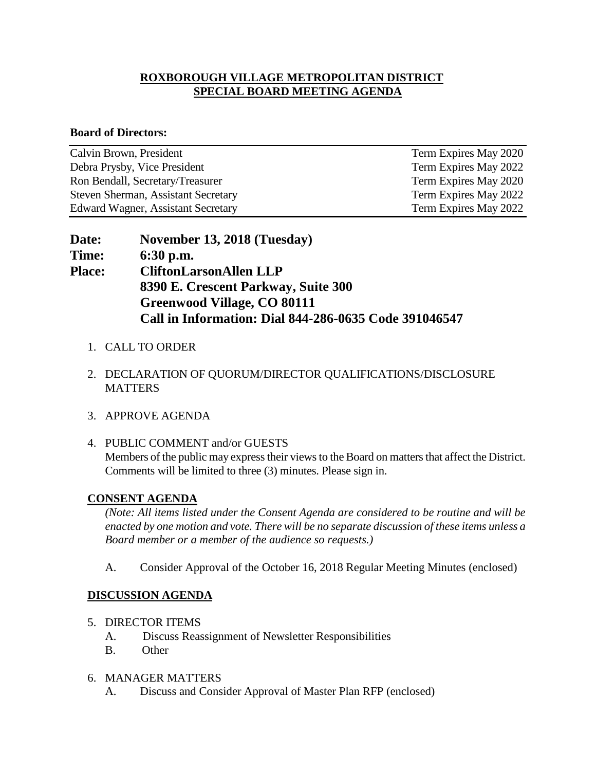# **ROXBOROUGH VILLAGE METROPOLITAN DISTRICT SPECIAL BOARD MEETING AGENDA**

#### **Board of Directors:**

| Calvin Brown, President                   | Term Expires May 2020 |
|-------------------------------------------|-----------------------|
| Debra Prysby, Vice President              | Term Expires May 2022 |
| Ron Bendall, Secretary/Treasurer          | Term Expires May 2020 |
| Steven Sherman, Assistant Secretary       | Term Expires May 2022 |
| <b>Edward Wagner, Assistant Secretary</b> | Term Expires May 2022 |

| Date:         | November 13, 2018 (Tuesday)                           |
|---------------|-------------------------------------------------------|
| Time:         | $6:30$ p.m.                                           |
| <b>Place:</b> | <b>CliftonLarsonAllen LLP</b>                         |
|               | 8390 E. Crescent Parkway, Suite 300                   |
|               | <b>Greenwood Village, CO 80111</b>                    |
|               | Call in Information: Dial 844-286-0635 Code 391046547 |

- 1. CALL TO ORDER
- 2. DECLARATION OF QUORUM/DIRECTOR QUALIFICATIONS/DISCLOSURE **MATTERS**
- 3. APPROVE AGENDA
- 4. PUBLIC COMMENT and/or GUESTS Members of the public may express their views to the Board on matters that affect the District. Comments will be limited to three (3) minutes. Please sign in.

## **CONSENT AGENDA**

*(Note: All items listed under the Consent Agenda are considered to be routine and will be enacted by one motion and vote. There will be no separate discussion of these items unless a Board member or a member of the audience so requests.)* 

A. Consider Approval of the October 16, 2018 Regular Meeting Minutes (enclosed)

# **DISCUSSION AGENDA**

- 5. DIRECTOR ITEMS
	- A. Discuss Reassignment of Newsletter Responsibilities
	- B. Other
- 6. MANAGER MATTERS
	- A. Discuss and Consider Approval of Master Plan RFP (enclosed)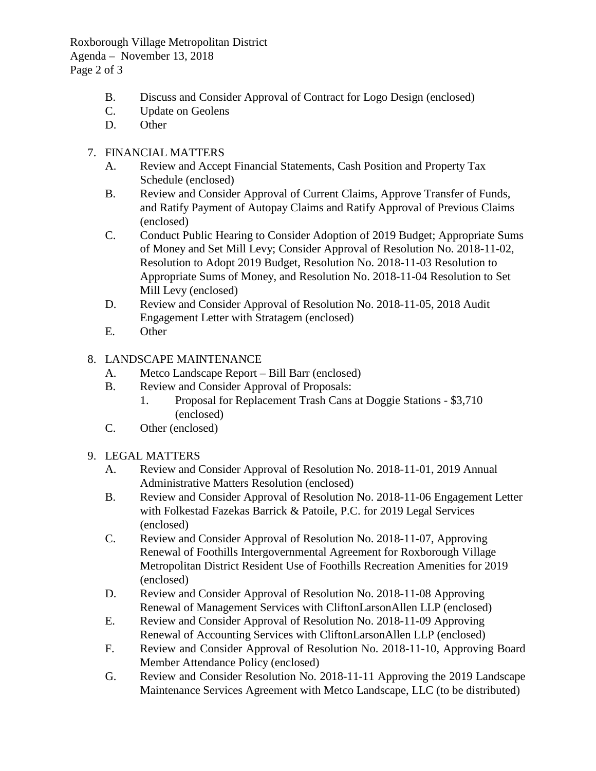Roxborough Village Metropolitan District Agenda – November 13, 2018 Page 2 of 3

- B. Discuss and Consider Approval of Contract for Logo Design (enclosed)
- C. Update on Geolens
- D. Other

# 7. FINANCIAL MATTERS

- A. Review and Accept Financial Statements, Cash Position and Property Tax Schedule (enclosed)
- B. Review and Consider Approval of Current Claims, Approve Transfer of Funds, and Ratify Payment of Autopay Claims and Ratify Approval of Previous Claims (enclosed)
- C. Conduct Public Hearing to Consider Adoption of 2019 Budget; Appropriate Sums of Money and Set Mill Levy; Consider Approval of Resolution No. 2018-11-02, Resolution to Adopt 2019 Budget, Resolution No. 2018-11-03 Resolution to Appropriate Sums of Money, and Resolution No. 2018-11-04 Resolution to Set Mill Levy (enclosed)
- D. Review and Consider Approval of Resolution No. 2018-11-05, 2018 Audit Engagement Letter with Stratagem (enclosed)
- E. Other

# 8. LANDSCAPE MAINTENANCE

- A. Metco Landscape Report Bill Barr (enclosed)
- B. Review and Consider Approval of Proposals:
	- 1. Proposal for Replacement Trash Cans at Doggie Stations \$3,710 (enclosed)
- C. Other (enclosed)

## 9. LEGAL MATTERS

- A. Review and Consider Approval of Resolution No. 2018-11-01, 2019 Annual Administrative Matters Resolution (enclosed)
- B. Review and Consider Approval of Resolution No. 2018-11-06 Engagement Letter with Folkestad Fazekas Barrick & Patoile, P.C. for 2019 Legal Services (enclosed)
- C. Review and Consider Approval of Resolution No. 2018-11-07, Approving Renewal of Foothills Intergovernmental Agreement for Roxborough Village Metropolitan District Resident Use of Foothills Recreation Amenities for 2019 (enclosed)
- D. Review and Consider Approval of Resolution No. 2018-11-08 Approving Renewal of Management Services with CliftonLarsonAllen LLP (enclosed)
- E. Review and Consider Approval of Resolution No. 2018-11-09 Approving Renewal of Accounting Services with CliftonLarsonAllen LLP (enclosed)
- F. Review and Consider Approval of Resolution No. 2018-11-10, Approving Board Member Attendance Policy (enclosed)
- G. Review and Consider Resolution No. 2018-11-11 Approving the 2019 Landscape Maintenance Services Agreement with Metco Landscape, LLC (to be distributed)